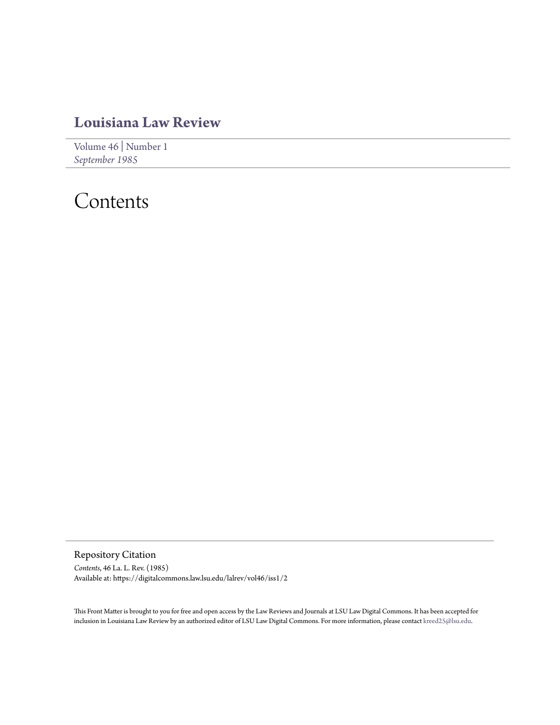# **[Louisiana Law Review](https://digitalcommons.law.lsu.edu/lalrev)**

[Volume 46](https://digitalcommons.law.lsu.edu/lalrev/vol46) | [Number 1](https://digitalcommons.law.lsu.edu/lalrev/vol46/iss1) *[September 1985](https://digitalcommons.law.lsu.edu/lalrev/vol46/iss1)*

# Contents

Repository Citation *Contents*, 46 La. L. Rev. (1985) Available at: https://digitalcommons.law.lsu.edu/lalrev/vol46/iss1/2

This Front Matter is brought to you for free and open access by the Law Reviews and Journals at LSU Law Digital Commons. It has been accepted for inclusion in Louisiana Law Review by an authorized editor of LSU Law Digital Commons. For more information, please contact [kreed25@lsu.edu](mailto:kreed25@lsu.edu).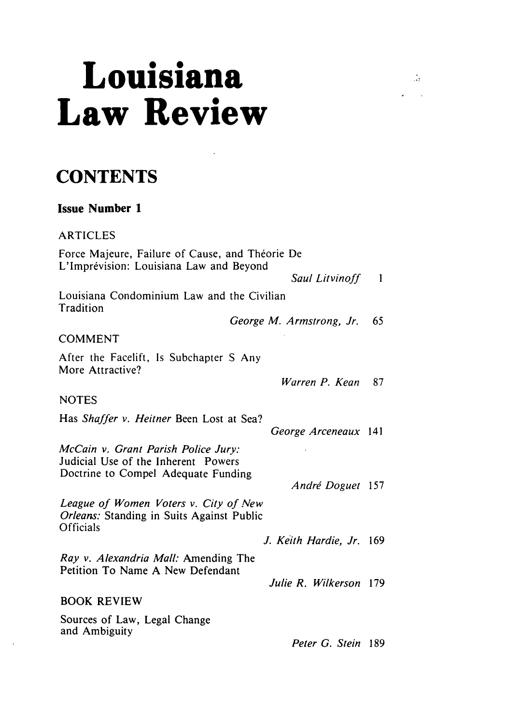# **Louisiana Law Review**

 $\frac{1}{\sqrt{2}}$ 

# **CONTENTS**

# **Issue Number 1**

ARTICLES Force Majeure, Failure of Cause, and Théorie De L'Imprévision: Louisiana Law and Beyond Saul *Litvinoff* **I** Louisiana Condominium Law and the Civilian **Tradition** *George M. Armstrong, Jr.* <sup>65</sup> **COMMENT** After the Facelift, Is Subchapter S Any More Attractive? *Warren P. Kean* **87 NOTES** Has *Shaffer v. Heitner* Been Lost at Sea? *George Arceneaux* 141 *McCain v. Grant Parish Police Jury:* Judicial Use of the Inherent Powers Doctrine to Compel Adequate Funding André Doguet 157 League of Women Voters v. City of New *Orleans:* Standing in Suits Against Public **Officials** *J. Keith Hardie, Jr.* <sup>169</sup> *Ray v. Alexandria Mall:* Amending The Petition To Name A New Defendant *Julie R. Wilkerson* <sup>179</sup> **BOOK REVIEW** Sources of Law, Legal Change and Ambiguity *Peter G. Stein* 189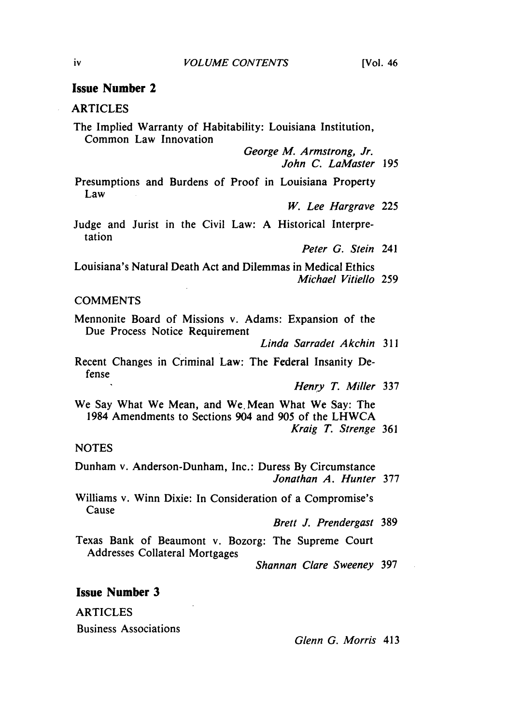# Issue Number 2

## ARTICLES

The Implied Warranty of Habitability: Louisiana Institution, Common Law Innovation

> *George M. Armstrong, Jr. John C. LaMaster* 195

Presumptions and Burdens of Proof in Louisiana Property Law

*W. Lee Hargrave* 225

Judge and Jurist in the Civil Law: A Historical Interpretation

*Peter G. Stein* 241

Louisiana's Natural Death Act and Dilemmas in Medical Ethics *Michael Vitiello* 259

#### **COMMENTS**

Mennonite Board of Missions v. Adams: Expansion of the Due Process Notice Requirement

*Linda Sarradet Akchin* <sup>311</sup>

Recent Changes in Criminal Law: The Federal Insanity Defense

*Henry T. Miller* **337**

We Say What We Mean, and We. Mean What We Say: The 1984 Amendments to Sections 904 and 905 of the LHWCA *Kraig T. Strenge* 361

#### **NOTES**

Dunham v. Anderson-Dunham, Inc.: Duress By Circumstance *Jonathan A. Hunter* 377

Williams v. Winn Dixie: In Consideration of a Compromise's Cause

*Brett J. Prendergast* 389

Texas Bank of Beaumont v. Bozorg: The Supreme Court Addresses Collateral Mortgages

*Shannan Clare Sweeney* 397

## **Issue Number 3**

ARTICLES

Business Associations

*Glenn G. Morris* 413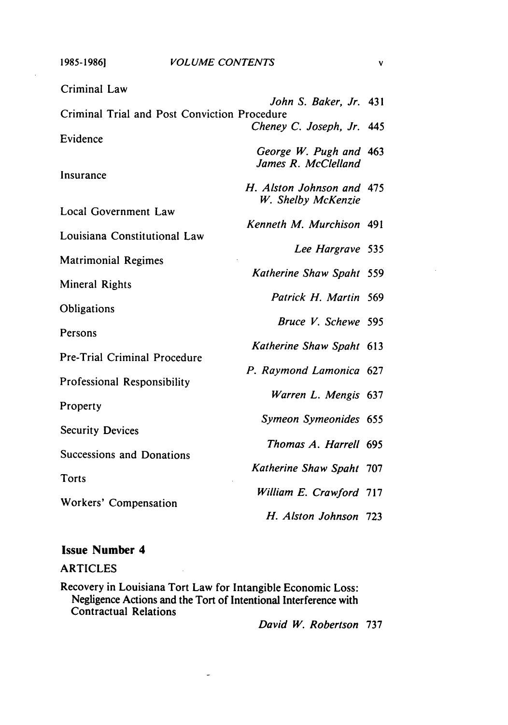**1985-19861**

J.

| Criminal Law                                 |                           |     |
|----------------------------------------------|---------------------------|-----|
| Criminal Trial and Post Conviction Procedure | John S. Baker, Jr. 431    |     |
|                                              | Cheney C. Joseph, Jr. 445 |     |
| Evidence                                     |                           |     |
|                                              | George W. Pugh and 463    |     |
| Insurance                                    | James R. McClelland       |     |
|                                              | H. Alston Johnson and 475 |     |
|                                              | W. Shelby McKenzie        |     |
| Local Government Law                         |                           |     |
| Louisiana Constitutional Law                 | Kenneth M. Murchison 491  |     |
|                                              | Lee Hargrave 535          |     |
| <b>Matrimonial Regimes</b>                   |                           |     |
|                                              | Katherine Shaw Spaht      | 559 |
| Mineral Rights                               | Patrick H. Martin 569     |     |
| Obligations                                  |                           |     |
|                                              | Bruce V. Schewe 595       |     |
| Persons                                      |                           |     |
| Pre-Trial Criminal Procedure                 | Katherine Shaw Spaht 613  |     |
|                                              | P. Raymond Lamonica 627   |     |
| Professional Responsibility                  |                           |     |
|                                              | Warren L. Mengis 637      |     |
| Property                                     | Symeon Symeonides 655     |     |
| <b>Security Devices</b>                      |                           |     |
|                                              | Thomas A. Harrell 695     |     |
| Successions and Donations                    |                           |     |
| Torts                                        | Katherine Shaw Spaht 707  |     |
|                                              | William E. Crawford 717   |     |
| Workers' Compensation                        |                           |     |
|                                              | H. Alston Johnson         | 723 |

# Issue Number 4

## ARTICLES

Recovery in Louisiana Tort Law for Intangible Economic Loss: Negligence Actions and the Tort of Intentional Interference with Contractual Relations

 $\overline{a}$ 

*David W. Robertson* 737

 $\mathbf v$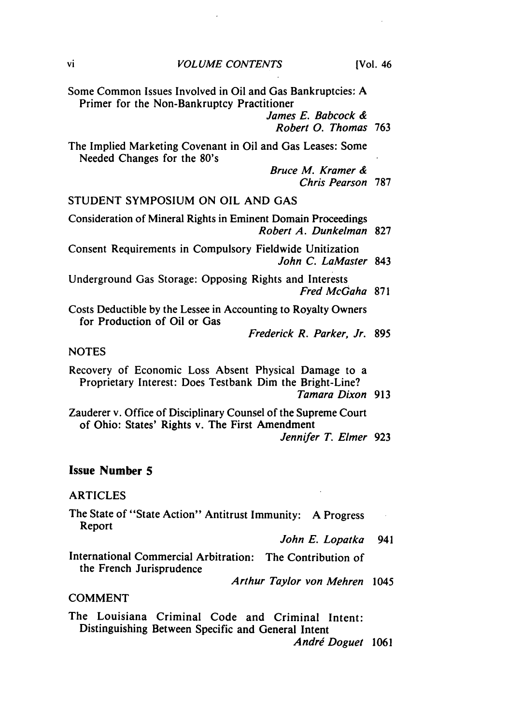Some Common Issues Involved in Oil and Gas Bankruptcies: A Primer for the Non-Bankruptcy Practitioner

> *James E.* Babcock & *Robert 0. Thomas* 763

The Implied Marketing Covenant in Oil and Gas Leases: Some Needed Changes for the 80's

> Bruce *M. Kramer &* Chris *Pearson* 787

# STUDENT SYMPOSIUM ON OIL AND GAS

Consideration of Mineral Rights in Eminent Domain Proceedings Robert A. Dunkelman 827

Consent Requirements in Compulsory Fieldwide Unitization *John* C. LaMaster 843

Underground Gas Storage: Opposing Rights and Interests Fred McGaha 871

Costs Deductible by the Lessee in Accounting to Royalty Owners for Production of Oil or Gas

Frederick R. Parker, *Jr.* 895

#### **NOTES**

Recovery of Economic Loss Absent Physical Damage to a Proprietary Interest: Does Testbank Dim the Bright-Line?

Zauderer v. Office of Disciplinary Counsel of the Supreme Court of Ohio: States' Rights v. The First Amendment Jennifer *T. Elmer* 923

# Issue Number **5**

#### ARTICLES

The State of "State Action" Antitrust Immunity: **A** Progress Report

*John E. Lopatka* 941

International Commercial Arbitration: The Contribution of the French Jurisprudence

*Arthur Taylor von Mehren* 1045

#### COMMENT

The Louisiana Criminal Code and Criminal Intent: Distinguishing Between Specific and General Intent

*Andri Doguet* 1061

Tamara Dixon *913*